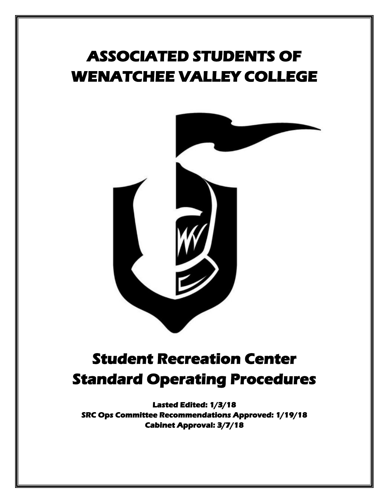# **ASSOCIATED STUDENTS OF WENATCHEE VALLEY COLLEGE**



## **Student Recreation Center Standard Operating Procedures**

**Lasted Edited: 1/3/18 SRC Ops Committee Recommendations Approved: 1/19/18 Cabinet Approval: 3/7/18**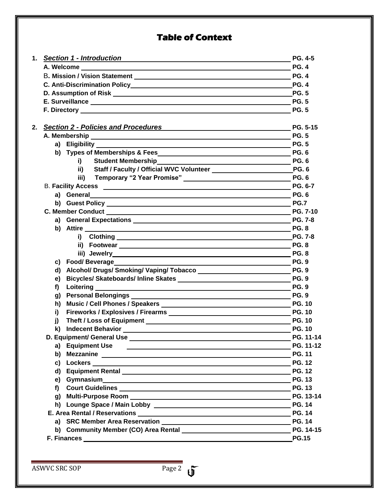## **Table of Context**

| 1. | <b>Section 1 - Introduction</b><br><u> 1989 - John Stein, Amerikaansk politiker (</u> † 1908)                                                                                                                                              | <b>PG. 4-5</b>   |
|----|--------------------------------------------------------------------------------------------------------------------------------------------------------------------------------------------------------------------------------------------|------------------|
|    |                                                                                                                                                                                                                                            | <b>PG.4</b>      |
|    |                                                                                                                                                                                                                                            | <b>PG.4</b>      |
|    |                                                                                                                                                                                                                                            | <b>PG. 4</b>     |
|    |                                                                                                                                                                                                                                            | <b>PG. 5</b>     |
|    |                                                                                                                                                                                                                                            | <b>PG.5</b>      |
|    |                                                                                                                                                                                                                                            | <b>PG.5</b>      |
|    | 2. Section 2 - Policies and Procedures                                                                                                                                                                                                     | PG. 5-15         |
|    |                                                                                                                                                                                                                                            | <b>PG.5</b>      |
|    | a) Eligibility ____                                                                                                                                                                                                                        | <b>PG.5</b>      |
|    | b) Types of Memberships & Fees                                                                                                                                                                                                             | <b>PG.6</b>      |
|    | Student Membership<br>PG. 6<br>i)                                                                                                                                                                                                          |                  |
|    | ii)                                                                                                                                                                                                                                        |                  |
|    | Temporary "2 Year Promise" Manuscriptus PG. 6<br>iii)                                                                                                                                                                                      |                  |
|    |                                                                                                                                                                                                                                            | PG. 6-7          |
|    | a) General<br>and the control of the control of the control of the control of the control of the control of the control of the                                                                                                             | <b>PG.6</b>      |
|    | b) Guest Policy <b>Construction</b> Construction of the Construction Construction Construction Construction Construction                                                                                                                   | <b>PG.7</b>      |
|    |                                                                                                                                                                                                                                            | <b>PG. 7-10</b>  |
|    | a) General Expectations example and the contract of PG. 7-8                                                                                                                                                                                |                  |
|    | b) Attire                                                                                                                                                                                                                                  | <b>PG.8</b>      |
|    |                                                                                                                                                                                                                                            | <b>PG. 7-8</b>   |
|    |                                                                                                                                                                                                                                            | <b>PG.8</b>      |
|    |                                                                                                                                                                                                                                            | <b>PG.8</b>      |
|    |                                                                                                                                                                                                                                            | <b>PG.9</b>      |
|    |                                                                                                                                                                                                                                            | <b>PG.9</b>      |
|    | e)                                                                                                                                                                                                                                         | <b>PG. 9</b>     |
|    | f)<br>Loitering <u>example and the set of the set of the set of the set of the set of the set of the set of the set of the set of the set of the set of the set of the set of the set of the set of the set of the set of the set of t</u> | <b>PG. 9</b>     |
|    | g)                                                                                                                                                                                                                                         |                  |
|    | h)                                                                                                                                                                                                                                         | <b>PG. 10</b>    |
|    | i)                                                                                                                                                                                                                                         | <b>PG. 10</b>    |
|    | j)<br>k)                                                                                                                                                                                                                                   | <b>PG. 10</b>    |
|    |                                                                                                                                                                                                                                            | <b>PG. 11-14</b> |
|    | a) Equipment Use                                                                                                                                                                                                                           | PG. 11-12        |
|    | <u> 1989 - Johann Barbara, martxa alemaniar arg</u>                                                                                                                                                                                        | <b>PG. 11</b>    |
|    |                                                                                                                                                                                                                                            | <b>PG. 12</b>    |
|    | d)                                                                                                                                                                                                                                         | <b>PG. 12</b>    |
|    | e)                                                                                                                                                                                                                                         | <b>PG. 13</b>    |
|    | f)                                                                                                                                                                                                                                         | <b>PG. 13</b>    |
|    |                                                                                                                                                                                                                                            | PG. 13-14        |
|    |                                                                                                                                                                                                                                            | <b>PG. 14</b>    |
|    |                                                                                                                                                                                                                                            | <b>PG. 14</b>    |
|    |                                                                                                                                                                                                                                            | <b>PG. 14</b>    |
|    |                                                                                                                                                                                                                                            | PG. 14-15        |
|    | F. Finances <u>experience</u> and the contract of the contract of the contract of the contract of the contract of the contract of the contract of the contract of the contract of the contract of the contract of the contract of t        | <b>PG.15</b>     |
|    |                                                                                                                                                                                                                                            |                  |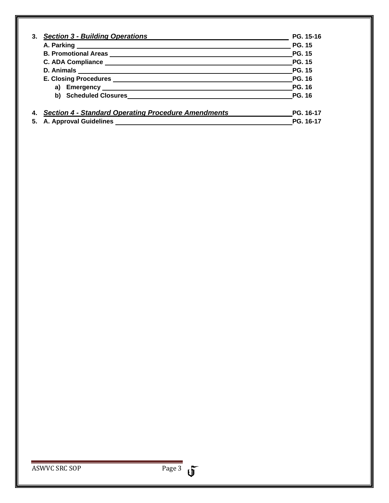| 3. | <b>Section 3 - Building Operations</b>                     | PG. 15-16     |
|----|------------------------------------------------------------|---------------|
|    |                                                            | <b>PG. 15</b> |
|    |                                                            | <b>PG. 15</b> |
|    |                                                            | <b>PG. 15</b> |
|    |                                                            | <b>PG. 15</b> |
|    |                                                            | <b>PG. 16</b> |
|    |                                                            | <b>PG. 16</b> |
|    | b) Scheduled Closures                                      | <b>PG. 16</b> |
|    | <b>Section 4 - Standard Operating Procedure Amendments</b> | PG. 16-17     |
| 5. | <b>A. Approval Guidelines</b>                              | PG. 16-17     |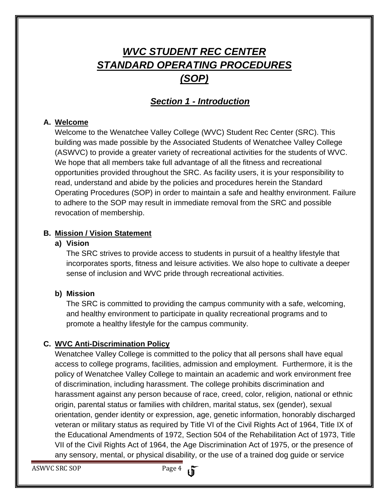## *WVC STUDENT REC CENTER STANDARD OPERATING PROCEDURES (SOP)*

## *Section 1 - Introduction*

#### **A. Welcome**

Welcome to the Wenatchee Valley College (WVC) Student Rec Center (SRC). This building was made possible by the Associated Students of Wenatchee Valley College (ASWVC) to provide a greater variety of recreational activities for the students of WVC. We hope that all members take full advantage of all the fitness and recreational opportunities provided throughout the SRC. As facility users, it is your responsibility to read, understand and abide by the policies and procedures herein the Standard Operating Procedures (SOP) in order to maintain a safe and healthy environment. Failure to adhere to the SOP may result in immediate removal from the SRC and possible revocation of membership.

#### **B. Mission / Vision Statement**

#### **a) Vision**

The SRC strives to provide access to students in pursuit of a healthy lifestyle that incorporates sports, fitness and leisure activities. We also hope to cultivate a deeper sense of inclusion and WVC pride through recreational activities.

#### **b) Mission**

The SRC is committed to providing the campus community with a safe, welcoming, and healthy environment to participate in quality recreational programs and to promote a healthy lifestyle for the campus community.

#### **C. WVC Anti-Discrimination Policy**

Wenatchee Valley College is committed to the policy that all persons shall have equal access to college programs, facilities, admission and employment. Furthermore, it is the policy of Wenatchee Valley College to maintain an academic and work environment free of discrimination, including harassment. The college prohibits discrimination and harassment against any person because of race, creed, color, religion, national or ethnic origin, parental status or families with children, marital status, sex (gender), sexual orientation, gender identity or expression, age, genetic information, honorably discharged veteran or military status as required by Title VI of the Civil Rights Act of 1964, Title IX of the Educational Amendments of 1972, Section 504 of the Rehabilitation Act of 1973, Title VII of the Civil Rights Act of 1964, the Age Discrimination Act of 1975, or the presence of any sensory, mental, or physical disability, or the use of a trained dog guide or service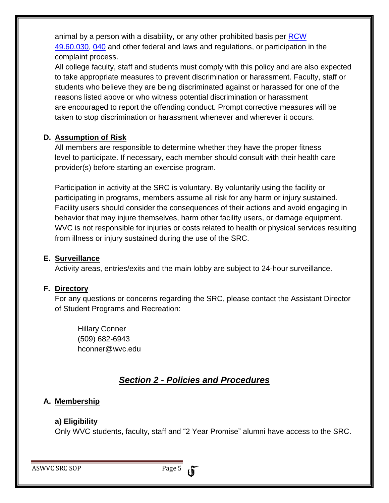animal by a person with a disability, or any other prohibited basis per [RCW](http://apps.leg.wa.gov/rcw/default.aspx?cite=49.60&full=true)  [49.60.030,](http://apps.leg.wa.gov/rcw/default.aspx?cite=49.60&full=true) [040](http://apps.leg.wa.gov/rcw/default.aspx?cite=49.60&full=true) and other federal and laws and regulations, or participation in the complaint process.

All college faculty, staff and students must comply with this policy and are also expected to take appropriate measures to prevent discrimination or harassment. Faculty, staff or students who believe they are being discriminated against or harassed for one of the reasons listed above or who witness potential discrimination or harassment are encouraged to report the offending conduct. Prompt corrective measures will be taken to stop discrimination or harassment whenever and wherever it occurs.

#### **D. Assumption of Risk**

All members are responsible to determine whether they have the proper fitness level to participate. If necessary, each member should consult with their health care provider(s) before starting an exercise program.

Participation in activity at the SRC is voluntary. By voluntarily using the facility or participating in programs, members assume all risk for any harm or injury sustained. Facility users should consider the consequences of their actions and avoid engaging in behavior that may injure themselves, harm other facility users, or damage equipment. WVC is not responsible for injuries or costs related to health or physical services resulting from illness or injury sustained during the use of the SRC.

#### **E. Surveillance**

Activity areas, entries/exits and the main lobby are subject to 24-hour surveillance.

#### **F. Directory**

For any questions or concerns regarding the SRC, please contact the Assistant Director of Student Programs and Recreation:

Hillary Conner (509) 682-6943 hconner@wvc.edu

## *Section 2 - Policies and Procedures*

#### **A. Membership**

#### **a) Eligibility**

Only WVC students, faculty, staff and "2 Year Promise" alumni have access to the SRC.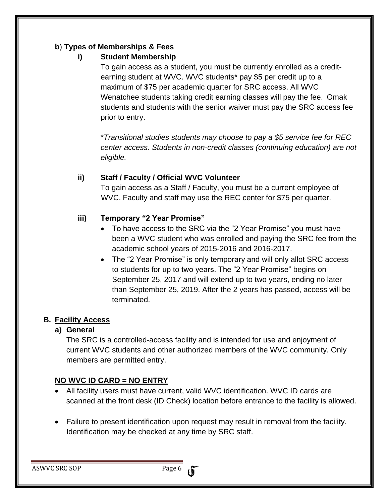#### **b**) **Types of Memberships & Fees**

#### **i) Student Membership**

To gain access as a student, you must be currently enrolled as a creditearning student at WVC. WVC students\* pay \$5 per credit up to a maximum of \$75 per academic quarter for SRC access. All WVC Wenatchee students taking credit earning classes will pay the fee. Omak students and students with the senior waiver must pay the SRC access fee prior to entry.

\**Transitional studies students may choose to pay a \$5 service fee for REC center access. Students in non-credit classes (continuing education) are not eligible.*

#### **ii) Staff / Faculty / Official WVC Volunteer**

To gain access as a Staff / Faculty, you must be a current employee of WVC. Faculty and staff may use the REC center for \$75 per quarter.

#### **iii) Temporary "2 Year Promise"**

- To have access to the SRC via the "2 Year Promise" you must have been a WVC student who was enrolled and paying the SRC fee from the academic school years of 2015-2016 and 2016-2017.
- The "2 Year Promise" is only temporary and will only allot SRC access to students for up to two years. The "2 Year Promise" begins on September 25, 2017 and will extend up to two years, ending no later than September 25, 2019. After the 2 years has passed, access will be terminated.

#### **B. Facility Access**

#### **a) General**

The SRC is a controlled-access facility and is intended for use and enjoyment of current WVC students and other authorized members of the WVC community. Only members are permitted entry.

#### **NO WVC ID CARD = NO ENTRY**

- All facility users must have current, valid WVC identification. WVC ID cards are scanned at the front desk (ID Check) location before entrance to the facility is allowed.
- Failure to present identification upon request may result in removal from the facility. Identification may be checked at any time by SRC staff.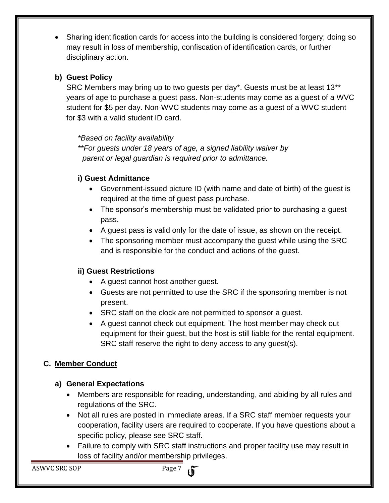Sharing identification cards for access into the building is considered forgery; doing so may result in loss of membership, confiscation of identification cards, or further disciplinary action.

#### **b) Guest Policy**

SRC Members may bring up to two guests per day\*. Guests must be at least 13\*\* years of age to purchase a guest pass. Non-students may come as a guest of a WVC student for \$5 per day. Non-WVC students may come as a guest of a WVC student for \$3 with a valid student ID card.

*\*Based on facility availability*

*\*\*For guests under 18 years of age, a signed liability waiver by parent or legal guardian is required prior to admittance.* 

#### **i) Guest Admittance**

- Government-issued picture ID (with name and date of birth) of the guest is required at the time of guest pass purchase.
- The sponsor's membership must be validated prior to purchasing a guest pass.
- A guest pass is valid only for the date of issue, as shown on the receipt.
- The sponsoring member must accompany the guest while using the SRC and is responsible for the conduct and actions of the guest.

#### **ii) Guest Restrictions**

- A guest cannot host another guest.
- Guests are not permitted to use the SRC if the sponsoring member is not present.
- SRC staff on the clock are not permitted to sponsor a guest.
- A guest cannot check out equipment. The host member may check out equipment for their guest, but the host is still liable for the rental equipment. SRC staff reserve the right to deny access to any guest(s).

#### **C. Member Conduct**

#### **a) General Expectations**

- Members are responsible for reading, understanding, and abiding by all rules and regulations of the SRC.
- Not all rules are posted in immediate areas. If a SRC staff member requests your cooperation, facility users are required to cooperate. If you have questions about a specific policy, please see SRC staff.
- Failure to comply with SRC staff instructions and proper facility use may result in loss of facility and/or membership privileges.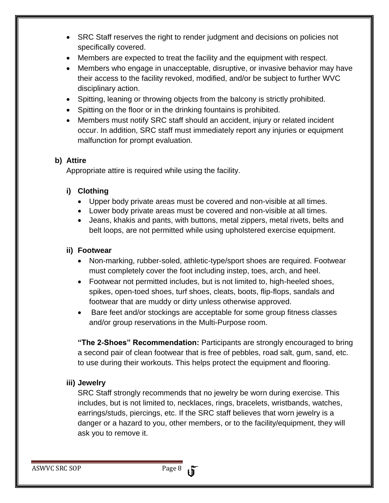- SRC Staff reserves the right to render judgment and decisions on policies not specifically covered.
- Members are expected to treat the facility and the equipment with respect.
- Members who engage in unacceptable, disruptive, or invasive behavior may have their access to the facility revoked, modified, and/or be subject to further WVC disciplinary action.
- Spitting, leaning or throwing objects from the balcony is strictly prohibited.
- Spitting on the floor or in the drinking fountains is prohibited.
- Members must notify SRC staff should an accident, injury or related incident occur. In addition, SRC staff must immediately report any injuries or equipment malfunction for prompt evaluation.

#### **b) Attire**

Appropriate attire is required while using the facility.

#### **i) Clothing**

- Upper body private areas must be covered and non-visible at all times.
- Lower body private areas must be covered and non-visible at all times.
- Jeans, khakis and pants, with buttons, metal zippers, metal rivets, belts and belt loops, are not permitted while using upholstered exercise equipment.

#### **ii) Footwear**

- Non-marking, rubber-soled, athletic-type/sport shoes are required. Footwear must completely cover the foot including instep, toes, arch, and heel.
- Footwear not permitted includes, but is not limited to, high-heeled shoes, spikes, open-toed shoes, turf shoes, cleats, boots, flip-flops, sandals and footwear that are muddy or dirty unless otherwise approved.
- Bare feet and/or stockings are acceptable for some group fitness classes and/or group reservations in the Multi-Purpose room.

**"The 2-Shoes" Recommendation:** Participants are strongly encouraged to bring a second pair of clean footwear that is free of pebbles, road salt, gum, sand, etc. to use during their workouts. This helps protect the equipment and flooring.

#### **iii) Jewelry**

SRC Staff strongly recommends that no jewelry be worn during exercise. This includes, but is not limited to, necklaces, rings, bracelets, wristbands, watches, earrings/studs, piercings, etc. If the SRC staff believes that worn jewelry is a danger or a hazard to you, other members, or to the facility/equipment, they will ask you to remove it.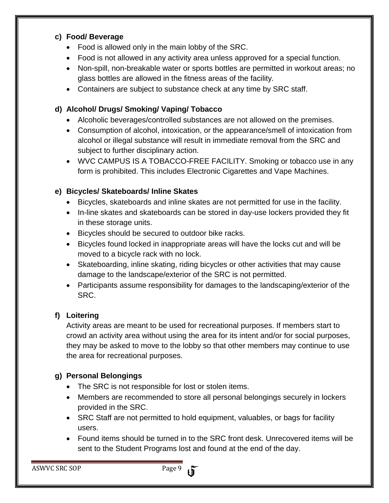#### **c) Food/ Beverage**

- Food is allowed only in the main lobby of the SRC.
- Food is not allowed in any activity area unless approved for a special function.
- Non-spill, non-breakable water or sports bottles are permitted in workout areas; no glass bottles are allowed in the fitness areas of the facility.
- Containers are subject to substance check at any time by SRC staff.

#### **d) Alcohol/ Drugs/ Smoking/ Vaping/ Tobacco**

- Alcoholic beverages/controlled substances are not allowed on the premises.
- Consumption of alcohol, intoxication, or the appearance/smell of intoxication from alcohol or illegal substance will result in immediate removal from the SRC and subject to further disciplinary action.
- WVC CAMPUS IS A TOBACCO-FREE FACILITY. Smoking or tobacco use in any form is prohibited. This includes Electronic Cigarettes and Vape Machines.

#### **e) Bicycles/ Skateboards/ Inline Skates**

- Bicycles, skateboards and inline skates are not permitted for use in the facility.
- In-line skates and skateboards can be stored in day-use lockers provided they fit in these storage units.
- Bicycles should be secured to outdoor bike racks.
- Bicycles found locked in inappropriate areas will have the locks cut and will be moved to a bicycle rack with no lock.
- Skateboarding, inline skating, riding bicycles or other activities that may cause damage to the landscape/exterior of the SRC is not permitted.
- Participants assume responsibility for damages to the landscaping/exterior of the SRC.

#### **f) Loitering**

Activity areas are meant to be used for recreational purposes. If members start to crowd an activity area without using the area for its intent and/or for social purposes, they may be asked to move to the lobby so that other members may continue to use the area for recreational purposes.

#### **g) Personal Belongings**

- The SRC is not responsible for lost or stolen items.
- Members are recommended to store all personal belongings securely in lockers provided in the SRC.
- SRC Staff are not permitted to hold equipment, valuables, or bags for facility users.
- Found items should be turned in to the SRC front desk. Unrecovered items will be sent to the Student Programs lost and found at the end of the day.

ASWVC SRC SOP Page 9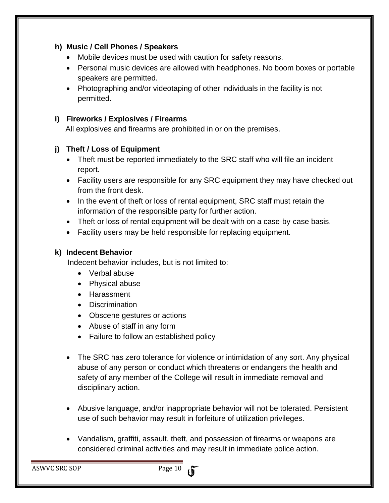#### **h) Music / Cell Phones / Speakers**

- Mobile devices must be used with caution for safety reasons.
- Personal music devices are allowed with headphones. No boom boxes or portable speakers are permitted.
- Photographing and/or videotaping of other individuals in the facility is not permitted.

#### **i) Fireworks / Explosives / Firearms**

All explosives and firearms are prohibited in or on the premises.

#### **j) Theft / Loss of Equipment**

- Theft must be reported immediately to the SRC staff who will file an incident report.
- Facility users are responsible for any SRC equipment they may have checked out from the front desk.
- In the event of theft or loss of rental equipment, SRC staff must retain the information of the responsible party for further action.
- Theft or loss of rental equipment will be dealt with on a case-by-case basis.
- Facility users may be held responsible for replacing equipment.

#### **k) Indecent Behavior**

Indecent behavior includes, but is not limited to:

- Verbal abuse
- Physical abuse
- Harassment
- Discrimination
- Obscene gestures or actions
- Abuse of staff in any form
- Failure to follow an established policy
- The SRC has zero tolerance for violence or intimidation of any sort. Any physical abuse of any person or conduct which threatens or endangers the health and safety of any member of the College will result in immediate removal and disciplinary action.
- Abusive language, and/or inappropriate behavior will not be tolerated. Persistent use of such behavior may result in forfeiture of utilization privileges.
- Vandalism, graffiti, assault, theft, and possession of firearms or weapons are considered criminal activities and may result in immediate police action.

ASWVC SRC SOP Page 10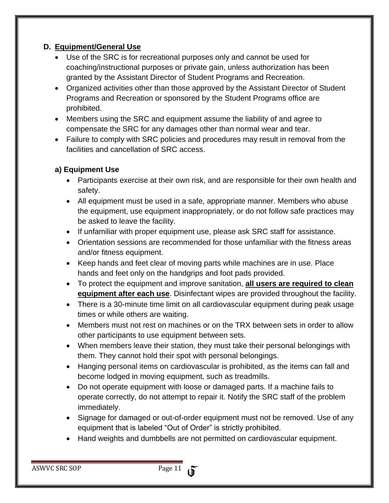#### **D. Equipment/General Use**

- Use of the SRC is for recreational purposes only and cannot be used for coaching/instructional purposes or private gain, unless authorization has been granted by the Assistant Director of Student Programs and Recreation.
- Organized activities other than those approved by the Assistant Director of Student Programs and Recreation or sponsored by the Student Programs office are prohibited.
- Members using the SRC and equipment assume the liability of and agree to compensate the SRC for any damages other than normal wear and tear.
- Failure to comply with SRC policies and procedures may result in removal from the facilities and cancellation of SRC access.

#### **a) Equipment Use**

- Participants exercise at their own risk, and are responsible for their own health and safety.
- All equipment must be used in a safe, appropriate manner. Members who abuse the equipment, use equipment inappropriately, or do not follow safe practices may be asked to leave the facility.
- If unfamiliar with proper equipment use, please ask SRC staff for assistance.
- Orientation sessions are recommended for those unfamiliar with the fitness areas and/or fitness equipment.
- Keep hands and feet clear of moving parts while machines are in use. Place hands and feet only on the handgrips and foot pads provided.
- To protect the equipment and improve sanitation, **all users are required to clean equipment after each use**. Disinfectant wipes are provided throughout the facility.
- There is a 30-minute time limit on all cardiovascular equipment during peak usage times or while others are waiting.
- Members must not rest on machines or on the TRX between sets in order to allow other participants to use equipment between sets.
- When members leave their station, they must take their personal belongings with them. They cannot hold their spot with personal belongings.
- Hanging personal items on cardiovascular is prohibited, as the items can fall and become lodged in moving equipment, such as treadmills.
- Do not operate equipment with loose or damaged parts. If a machine fails to operate correctly, do not attempt to repair it. Notify the SRC staff of the problem immediately.
- Signage for damaged or out-of-order equipment must not be removed. Use of any equipment that is labeled "Out of Order" is strictly prohibited.
- Hand weights and dumbbells are not permitted on cardiovascular equipment.

ASWVC SRC SOP Page 11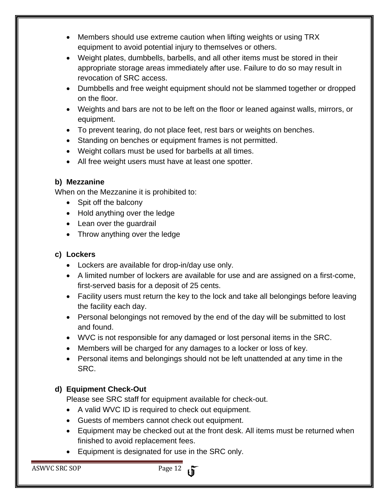- Members should use extreme caution when lifting weights or using TRX equipment to avoid potential injury to themselves or others.
- Weight plates, dumbbells, barbells, and all other items must be stored in their appropriate storage areas immediately after use. Failure to do so may result in revocation of SRC access.
- Dumbbells and free weight equipment should not be slammed together or dropped on the floor.
- Weights and bars are not to be left on the floor or leaned against walls, mirrors, or equipment.
- To prevent tearing, do not place feet, rest bars or weights on benches.
- Standing on benches or equipment frames is not permitted.
- Weight collars must be used for barbells at all times.
- All free weight users must have at least one spotter.

#### **b) Mezzanine**

When on the Mezzanine it is prohibited to:

- Spit off the balcony
- Hold anything over the ledge
- Lean over the quardrail
- Throw anything over the ledge

#### **c) Lockers**

- Lockers are available for drop-in/day use only.
- A limited number of lockers are available for use and are assigned on a first-come, first-served basis for a deposit of 25 cents.
- Facility users must return the key to the lock and take all belongings before leaving the facility each day.
- Personal belongings not removed by the end of the day will be submitted to lost and found.
- WVC is not responsible for any damaged or lost personal items in the SRC.
- Members will be charged for any damages to a locker or loss of key.
- Personal items and belongings should not be left unattended at any time in the SRC.

#### **d) Equipment Check-Out**

Please see SRC staff for equipment available for check-out.

- A valid WVC ID is required to check out equipment.
- Guests of members cannot check out equipment.
- Equipment may be checked out at the front desk. All items must be returned when finished to avoid replacement fees.
- Equipment is designated for use in the SRC only.

ASWVC SRC SOP Page 12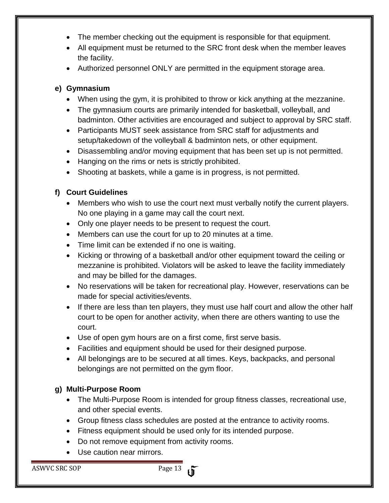- The member checking out the equipment is responsible for that equipment.
- All equipment must be returned to the SRC front desk when the member leaves the facility.
- Authorized personnel ONLY are permitted in the equipment storage area.

#### **e) Gymnasium**

- When using the gym, it is prohibited to throw or kick anything at the mezzanine.
- The gymnasium courts are primarily intended for basketball, volleyball, and badminton. Other activities are encouraged and subject to approval by SRC staff.
- Participants MUST seek assistance from SRC staff for adjustments and setup/takedown of the volleyball & badminton nets, or other equipment.
- Disassembling and/or moving equipment that has been set up is not permitted.
- Hanging on the rims or nets is strictly prohibited.
- Shooting at baskets, while a game is in progress, is not permitted.

#### **f) Court Guidelines**

- Members who wish to use the court next must verbally notify the current players. No one playing in a game may call the court next.
- Only one player needs to be present to request the court.
- Members can use the court for up to 20 minutes at a time.
- Time limit can be extended if no one is waiting.
- Kicking or throwing of a basketball and/or other equipment toward the ceiling or mezzanine is prohibited. Violators will be asked to leave the facility immediately and may be billed for the damages.
- No reservations will be taken for recreational play. However, reservations can be made for special activities/events.
- If there are less than ten players, they must use half court and allow the other half court to be open for another activity, when there are others wanting to use the court.
- Use of open gym hours are on a first come, first serve basis.
- Facilities and equipment should be used for their designed purpose.
- All belongings are to be secured at all times. Keys, backpacks, and personal belongings are not permitted on the gym floor.

#### **g) Multi-Purpose Room**

- The Multi-Purpose Room is intended for group fitness classes, recreational use, and other special events.
- Group fitness class schedules are posted at the entrance to activity rooms.
- Fitness equipment should be used only for its intended purpose.
- Do not remove equipment from activity rooms.
- Use caution near mirrors.

ASWVC SRC SOP Page 13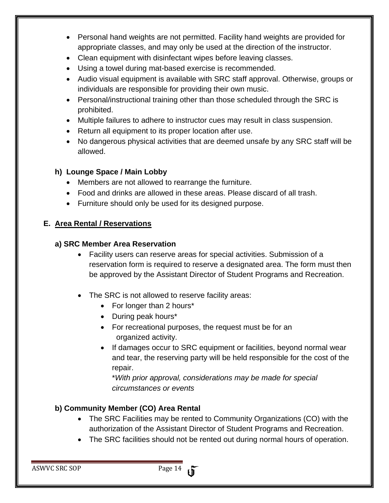- Personal hand weights are not permitted. Facility hand weights are provided for appropriate classes, and may only be used at the direction of the instructor.
- Clean equipment with disinfectant wipes before leaving classes.
- Using a towel during mat-based exercise is recommended.
- Audio visual equipment is available with SRC staff approval. Otherwise, groups or individuals are responsible for providing their own music.
- Personal/instructional training other than those scheduled through the SRC is prohibited.
- Multiple failures to adhere to instructor cues may result in class suspension.
- Return all equipment to its proper location after use.
- No dangerous physical activities that are deemed unsafe by any SRC staff will be allowed.

#### **h) Lounge Space / Main Lobby**

- Members are not allowed to rearrange the furniture.
- Food and drinks are allowed in these areas. Please discard of all trash.
- Furniture should only be used for its designed purpose.

#### **E. Area Rental / Reservations**

#### **a) SRC Member Area Reservation**

- Facility users can reserve areas for special activities. Submission of a reservation form is required to reserve a designated area. The form must then be approved by the Assistant Director of Student Programs and Recreation.
- The SRC is not allowed to reserve facility areas:
	- For longer than 2 hours\*
	- During peak hours\*
	- For recreational purposes, the request must be for an organized activity.
	- If damages occur to SRC equipment or facilities, beyond normal wear and tear, the reserving party will be held responsible for the cost of the repair.

\**With prior approval, considerations may be made for special circumstances or events*

#### **b) Community Member (CO) Area Rental**

- The SRC Facilities may be rented to Community Organizations (CO) with the authorization of the Assistant Director of Student Programs and Recreation.
- The SRC facilities should not be rented out during normal hours of operation.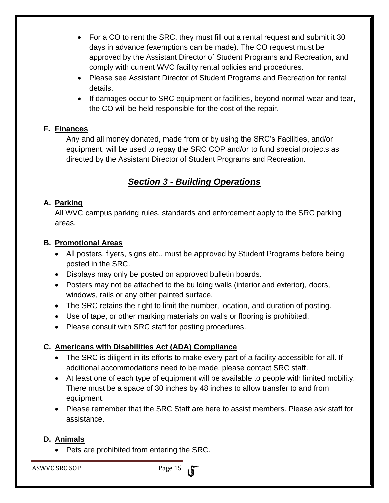- For a CO to rent the SRC, they must fill out a rental request and submit it 30 days in advance (exemptions can be made). The CO request must be approved by the Assistant Director of Student Programs and Recreation, and comply with current WVC facility rental policies and procedures.
- Please see Assistant Director of Student Programs and Recreation for rental details.
- If damages occur to SRC equipment or facilities, beyond normal wear and tear, the CO will be held responsible for the cost of the repair.

#### **F. Finances**

Any and all money donated, made from or by using the SRC's Facilities, and/or equipment, will be used to repay the SRC COP and/or to fund special projects as directed by the Assistant Director of Student Programs and Recreation.

### *Section 3 - Building Operations*

#### **A. Parking**

All WVC campus parking rules, standards and enforcement apply to the SRC parking areas.

#### **B. Promotional Areas**

- All posters, flyers, signs etc., must be approved by Student Programs before being posted in the SRC.
- Displays may only be posted on approved bulletin boards.
- Posters may not be attached to the building walls (interior and exterior), doors, windows, rails or any other painted surface.
- The SRC retains the right to limit the number, location, and duration of posting.
- Use of tape, or other marking materials on walls or flooring is prohibited.
- Please consult with SRC staff for posting procedures.

#### **C. Americans with Disabilities Act (ADA) Compliance**

- The SRC is diligent in its efforts to make every part of a facility accessible for all. If additional accommodations need to be made, please contact SRC staff.
- At least one of each type of equipment will be available to people with limited mobility. There must be a space of 30 inches by 48 inches to allow transfer to and from equipment.
- Please remember that the SRC Staff are here to assist members. Please ask staff for assistance.

#### **D. Animals**

• Pets are prohibited from entering the SRC.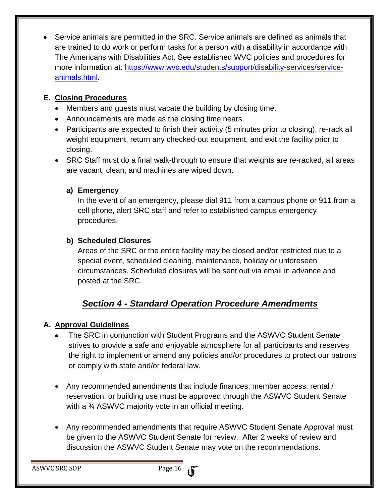Service animals are permitted in the SRC. Service animals are defined as animals that are trained to do work or perform tasks for a person with a disability in accordance with The Americans with Disabilities Act. See established WVC policies and procedures for more information at: [https://www.wvc.edu/students/support/disability-services/service](https://www.wvc.edu/students/support/disability-services/service-animals.html)[animals.html.](https://www.wvc.edu/students/support/disability-services/service-animals.html)

#### **E. Closing Procedures**

- Members and guests must vacate the building by closing time.
- Announcements are made as the closing time nears.
- Participants are expected to finish their activity (5 minutes prior to closing), re-rack all weight equipment, return any checked-out equipment, and exit the facility prior to closing.
- SRC Staff must do a final walk-through to ensure that weights are re-racked, all areas are vacant, clean, and machines are wiped down.

#### **a) Emergency**

In the event of an emergency, please dial 911 from a campus phone or 911 from a cell phone, alert SRC staff and refer to established campus emergency procedures.

#### **b) Scheduled Closures**

Areas of the SRC or the entire facility may be closed and/or restricted due to a special event, scheduled cleaning, maintenance, holiday or unforeseen circumstances. Scheduled closures will be sent out via email in advance and posted at the SRC.

## *Section 4 - Standard Operation Procedure Amendments*

#### **A. Approval Guidelines**

- The SRC in conjunction with Student Programs and the ASWVC Student Senate strives to provide a safe and enjoyable atmosphere for all participants and reserves the right to implement or amend any policies and/or procedures to protect our patrons or comply with state and/or federal law.
- Any recommended amendments that include finances, member access, rental / reservation, or building use must be approved through the ASWVC Student Senate with a <sup>3</sup>/<sub>4</sub> ASWVC majority vote in an official meeting.
- Any recommended amendments that require ASWVC Student Senate Approval must be given to the ASWVC Student Senate for review. After 2 weeks of review and discussion the ASWVC Student Senate may vote on the recommendations.

ASWVC SRC SOP Page 16